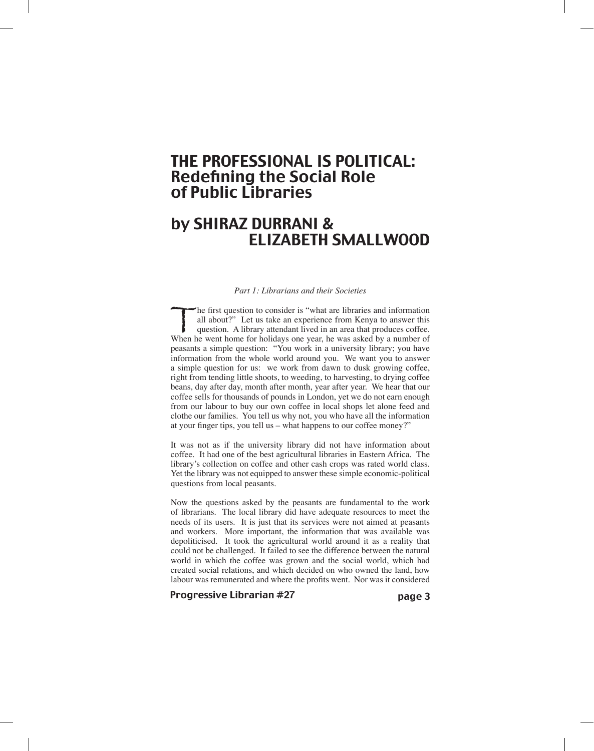# THE PROFESSIONAL IS POLITICAL: Redefining the Social Role of Public Libraries

# by SHIRAZ DURRANI & ELIZABETH SMALLWOOD

#### *Part 1: Librarians and their Societies*

The first question to consider is "what are libraries and information all about?" Let us take an experience from Kenya to answer this question. A library attendant lived in an area that produces coffee. When he went home f all about?" Let us take an experience from Kenya to answer this question. A library attendant lived in an area that produces coffee. peasants a simple question: "You work in a university library; you have information from the whole world around you. We want you to answer a simple question for us: we work from dawn to dusk growing coffee, right from tending little shoots, to weeding, to harvesting, to drying coffee beans, day after day, month after month, year after year. We hear that our coffee sells for thousands of pounds in London, yet we do not earn enough from our labour to buy our own coffee in local shops let alone feed and clothe our families. You tell us why not, you who have all the information at your finger tips, you tell us – what happens to our coffee money?"

It was not as if the university library did not have information about coffee. It had one of the best agricultural libraries in Eastern Africa. The library's collection on coffee and other cash crops was rated world class. Yet the library was not equipped to answer these simple economic-political questions from local peasants.

Now the questions asked by the peasants are fundamental to the work of librarians. The local library did have adequate resources to meet the needs of its users. It is just that its services were not aimed at peasants and workers. More important, the information that was available was depoliticised. It took the agricultural world around it as a reality that could not be challenged. It failed to see the difference between the natural world in which the coffee was grown and the social world, which had created social relations, and which decided on who owned the land, how labour was remunerated and where the profits went. Nor was it considered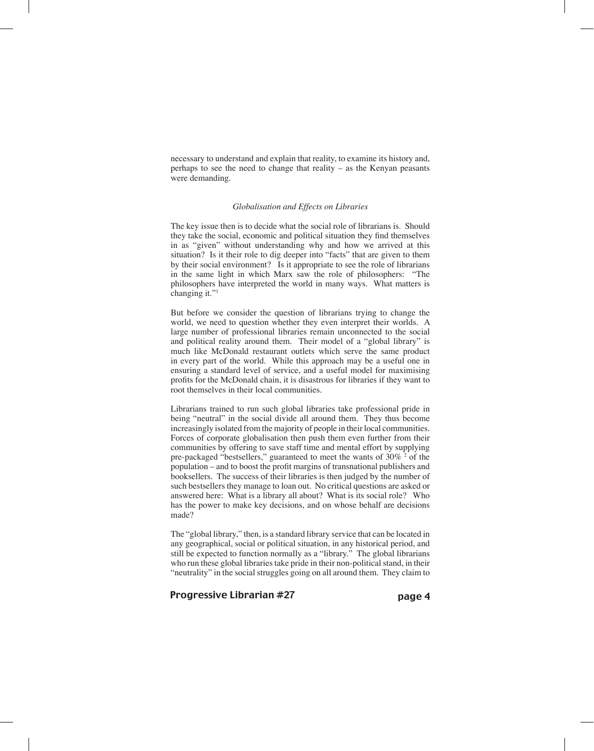necessary to understand and explain that reality, to examine its history and, perhaps to see the need to change that reality – as the Kenyan peasants were demanding.

#### *Globalisation and Effects on Libraries*

The key issue then is to decide what the social role of librarians is. Should they take the social, economic and political situation they find themselves in as "given" without understanding why and how we arrived at this situation? Is it their role to dig deeper into "facts" that are given to them by their social environment? Is it appropriate to see the role of librarians in the same light in which Marx saw the role of philosophers: "The philosophers have interpreted the world in many ways. What matters is changing it."1

But before we consider the question of librarians trying to change the world, we need to question whether they even interpret their worlds. A large number of professional libraries remain unconnected to the social and political reality around them. Their model of a "global library" is much like McDonald restaurant outlets which serve the same product in every part of the world. While this approach may be a useful one in ensuring a standard level of service, and a useful model for maximising profits for the McDonald chain, it is disastrous for libraries if they want to root themselves in their local communities.

Librarians trained to run such global libraries take professional pride in being "neutral" in the social divide all around them. They thus become increasingly isolated from the majority of people in their local communities. Forces of corporate globalisation then push them even further from their communities by offering to save staff time and mental effort by supplying pre-packaged "bestsellers," guaranteed to meet the wants of  $30\%$  <sup>2</sup> of the population – and to boost the profit margins of transnational publishers and booksellers. The success of their libraries is then judged by the number of such bestsellers they manage to loan out. No critical questions are asked or answered here: What is a library all about? What is its social role? Who has the power to make key decisions, and on whose behalf are decisions made?

The "global library," then, is a standard library service that can be located in any geographical, social or political situation, in any historical period, and still be expected to function normally as a "library." The global librarians who run these global libraries take pride in their non-political stand, in their "neutrality" in the social struggles going on all around them. They claim to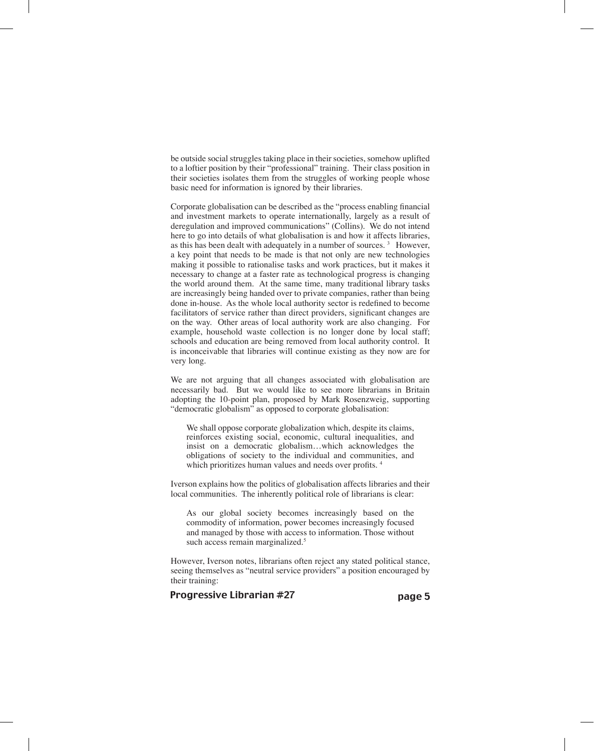be outside social struggles taking place in their societies, somehow uplifted to a loftier position by their "professional" training. Their class position in their societies isolates them from the struggles of working people whose basic need for information is ignored by their libraries.

Corporate globalisation can be described as the "process enabling financial and investment markets to operate internationally, largely as a result of deregulation and improved communications" (Collins). We do not intend here to go into details of what globalisation is and how it affects libraries, as this has been dealt with adequately in a number of sources. 3 However, a key point that needs to be made is that not only are new technologies making it possible to rationalise tasks and work practices, but it makes it necessary to change at a faster rate as technological progress is changing the world around them. At the same time, many traditional library tasks are increasingly being handed over to private companies, rather than being done in-house. As the whole local authority sector is redefined to become facilitators of service rather than direct providers, significant changes are on the way. Other areas of local authority work are also changing. For example, household waste collection is no longer done by local staff; schools and education are being removed from local authority control. It is inconceivable that libraries will continue existing as they now are for very long.

We are not arguing that all changes associated with globalisation are necessarily bad. But we would like to see more librarians in Britain adopting the 10-point plan, proposed by Mark Rosenzweig, supporting "democratic globalism" as opposed to corporate globalisation:

We shall oppose corporate globalization which, despite its claims, reinforces existing social, economic, cultural inequalities, and insist on a democratic globalism…which acknowledges the obligations of society to the individual and communities, and which prioritizes human values and needs over profits.<sup>4</sup>

Iverson explains how the politics of globalisation affects libraries and their local communities. The inherently political role of librarians is clear:

As our global society becomes increasingly based on the commodity of information, power becomes increasingly focused and managed by those with access to information. Those without such access remain marginalized.<sup>5</sup>

However, Iverson notes, librarians often reject any stated political stance, seeing themselves as "neutral service providers" a position encouraged by their training: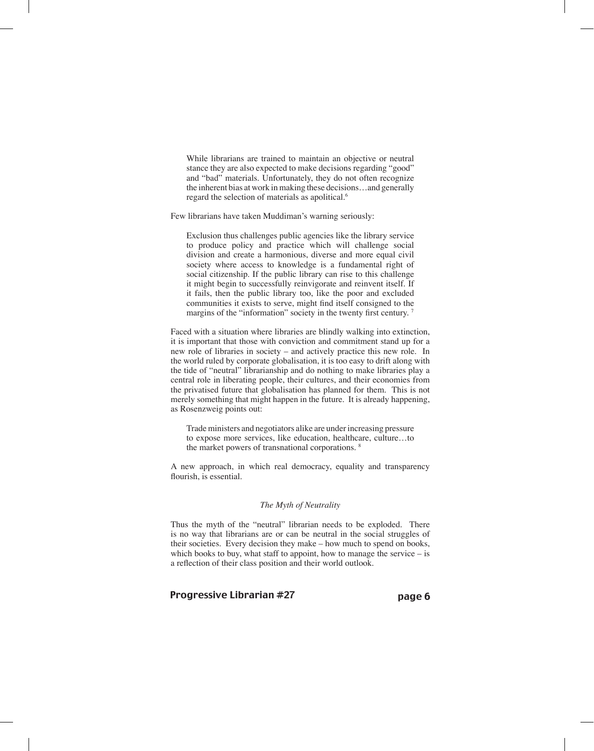While librarians are trained to maintain an objective or neutral stance they are also expected to make decisions regarding "good" and "bad" materials. Unfortunately, they do not often recognize the inherent bias at work in making these decisions…and generally regard the selection of materials as apolitical.<sup>6</sup>

Few librarians have taken Muddiman's warning seriously:

Exclusion thus challenges public agencies like the library service to produce policy and practice which will challenge social division and create a harmonious, diverse and more equal civil society where access to knowledge is a fundamental right of social citizenship. If the public library can rise to this challenge it might begin to successfully reinvigorate and reinvent itself. If it fails, then the public library too, like the poor and excluded communities it exists to serve, might find itself consigned to the margins of the "information" society in the twenty first century.<sup>7</sup>

Faced with a situation where libraries are blindly walking into extinction, it is important that those with conviction and commitment stand up for a new role of libraries in society – and actively practice this new role. In the world ruled by corporate globalisation, it is too easy to drift along with the tide of "neutral" librarianship and do nothing to make libraries play a central role in liberating people, their cultures, and their economies from the privatised future that globalisation has planned for them. This is not merely something that might happen in the future. It is already happening, as Rosenzweig points out:

Trade ministers and negotiators alike are under increasing pressure to expose more services, like education, healthcare, culture…to the market powers of transnational corporations. 8

A new approach, in which real democracy, equality and transparency flourish, is essential.

## *The Myth of Neutrality*

Thus the myth of the "neutral" librarian needs to be exploded. There is no way that librarians are or can be neutral in the social struggles of their societies. Every decision they make – how much to spend on books, which books to buy, what staff to appoint, how to manage the service  $-$  is a reflection of their class position and their world outlook.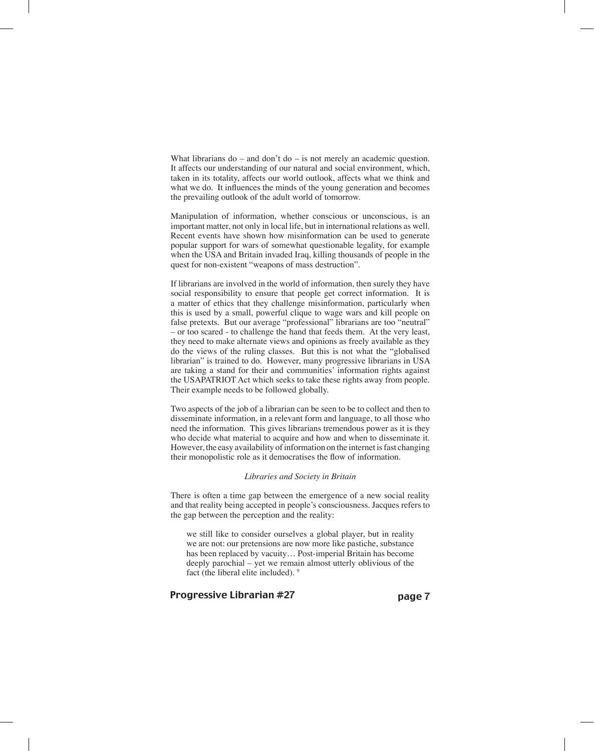What librarians  $do -$  and  $don't$   $do -$  is not merely an academic question. It affects our understanding of our natural and social environment, which, taken in its totality, affects our world outlook, affects what we think and what we do. It influences the minds of the young generation and becomes the prevailing outlook of the adult world of tomorrow.

Manipulation of information, whether conscious or unconscious, is an important matter, not only in local life, but in international relations as well. Recent events have shown how misinformation can be used to generate popular support for wars of somewhat questionable legality, for example when the USA and Britain invaded Iraq, killing thousands of people in the quest for non-existent "weapons of mass destruction".

If librarians are involved in the world of information, then surely they have social responsibility to ensure that people get correct information. It is a matter of ethics that they challenge misinformation, particularly when this is used by a small, powerful clique to wage wars and kill people on false pretexts. But our average "professional" librarians are too "neutral" – or too scared - to challenge the hand that feeds them. At the very least, they need to make alternate views and opinions as freely available as they do the views of the ruling classes. But this is not what the "globalised librarian" is trained to do. However, many progressive librarians in USA are taking a stand for their and communities' information rights against the USAPATRIOT Act which seeks to take these rights away from people. Their example needs to be followed globally.

Two aspects of the job of a librarian can be seen to be to collect and then to disseminate information, in a relevant form and language, to all those who need the information. This gives librarians tremendous power as it is they who decide what material to acquire and how and when to disseminate it. However, the easy availability of information on the internet is fast changing their monopolistic role as it democratises the flow of information.

#### *Libraries and Society in Britain*

There is often a time gap between the emergence of a new social reality and that reality being accepted in people's consciousness. Jacques refers to the gap between the perception and the reality:

we still like to consider ourselves a global player, but in reality we are not: our pretensions are now more like pastiche, substance has been replaced by vacuity… Post-imperial Britain has become deeply parochial – yet we remain almost utterly oblivious of the fact (the liberal elite included). 9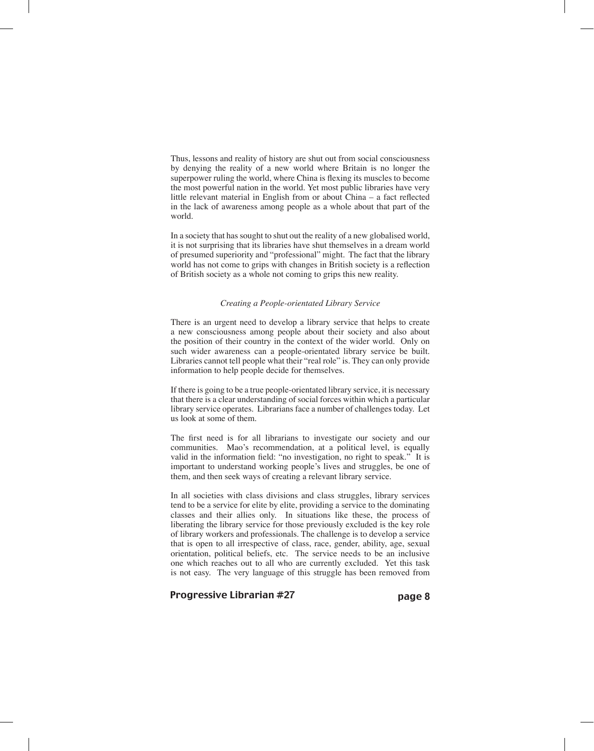Thus, lessons and reality of history are shut out from social consciousness by denying the reality of a new world where Britain is no longer the superpower ruling the world, where China is flexing its muscles to become the most powerful nation in the world. Yet most public libraries have very little relevant material in English from or about China – a fact reflected in the lack of awareness among people as a whole about that part of the world.

In a society that has sought to shut out the reality of a new globalised world, it is not surprising that its libraries have shut themselves in a dream world of presumed superiority and "professional" might. The fact that the library world has not come to grips with changes in British society is a reflection of British society as a whole not coming to grips this new reality.

#### *Creating a People-orientated Library Service*

There is an urgent need to develop a library service that helps to create a new consciousness among people about their society and also about the position of their country in the context of the wider world. Only on such wider awareness can a people-orientated library service be built. Libraries cannot tell people what their "real role" is. They can only provide information to help people decide for themselves.

If there is going to be a true people-orientated library service, it is necessary that there is a clear understanding of social forces within which a particular library service operates. Librarians face a number of challenges today. Let us look at some of them.

The first need is for all librarians to investigate our society and our communities. Mao's recommendation, at a political level, is equally valid in the information field: "no investigation, no right to speak." It is important to understand working people's lives and struggles, be one of them, and then seek ways of creating a relevant library service.

In all societies with class divisions and class struggles, library services tend to be a service for elite by elite, providing a service to the dominating classes and their allies only. In situations like these, the process of liberating the library service for those previously excluded is the key role of library workers and professionals. The challenge is to develop a service that is open to all irrespective of class, race, gender, ability, age, sexual orientation, political beliefs, etc. The service needs to be an inclusive one which reaches out to all who are currently excluded. Yet this task is not easy. The very language of this struggle has been removed from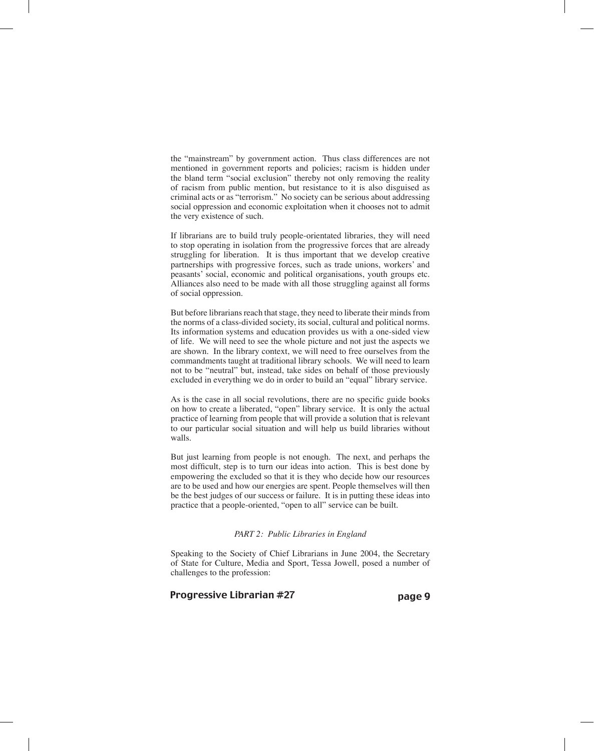the "mainstream" by government action. Thus class differences are not mentioned in government reports and policies; racism is hidden under the bland term "social exclusion" thereby not only removing the reality of racism from public mention, but resistance to it is also disguised as criminal acts or as "terrorism." No society can be serious about addressing social oppression and economic exploitation when it chooses not to admit the very existence of such.

If librarians are to build truly people-orientated libraries, they will need to stop operating in isolation from the progressive forces that are already struggling for liberation. It is thus important that we develop creative partnerships with progressive forces, such as trade unions, workers' and peasants' social, economic and political organisations, youth groups etc. Alliances also need to be made with all those struggling against all forms of social oppression.

But before librarians reach that stage, they need to liberate their minds from the norms of a class-divided society, its social, cultural and political norms. Its information systems and education provides us with a one-sided view of life. We will need to see the whole picture and not just the aspects we are shown. In the library context, we will need to free ourselves from the commandments taught at traditional library schools. We will need to learn not to be "neutral" but, instead, take sides on behalf of those previously excluded in everything we do in order to build an "equal" library service.

As is the case in all social revolutions, there are no specific guide books on how to create a liberated, "open" library service. It is only the actual practice of learning from people that will provide a solution that is relevant to our particular social situation and will help us build libraries without walls.

But just learning from people is not enough. The next, and perhaps the most difficult, step is to turn our ideas into action. This is best done by empowering the excluded so that it is they who decide how our resources are to be used and how our energies are spent. People themselves will then be the best judges of our success or failure. It is in putting these ideas into practice that a people-oriented, "open to all" service can be built.

#### *PART 2: Public Libraries in England*

Speaking to the Society of Chief Librarians in June 2004, the Secretary of State for Culture, Media and Sport, Tessa Jowell, posed a number of challenges to the profession: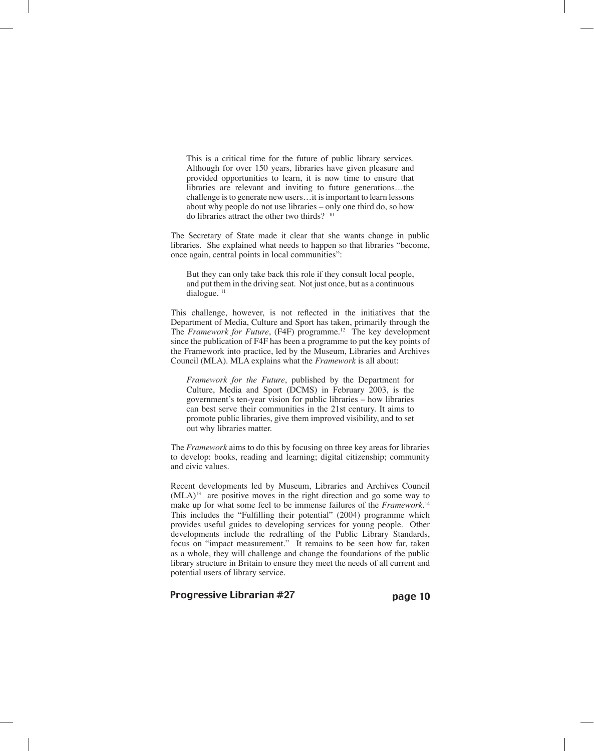This is a critical time for the future of public library services. Although for over 150 years, libraries have given pleasure and provided opportunities to learn, it is now time to ensure that libraries are relevant and inviting to future generations…the challenge is to generate new users…it is important to learn lessons about why people do not use libraries – only one third do, so how do libraries attract the other two thirds? <sup>10</sup>

The Secretary of State made it clear that she wants change in public libraries. She explained what needs to happen so that libraries "become, once again, central points in local communities":

But they can only take back this role if they consult local people, and put them in the driving seat. Not just once, but as a continuous dialogue.<sup>11</sup>

This challenge, however, is not reflected in the initiatives that the Department of Media, Culture and Sport has taken, primarily through the The *Framework for Future*, (F4F) programme.<sup>12</sup> The key development since the publication of F4F has been a programme to put the key points of the Framework into practice, led by the Museum, Libraries and Archives Council (MLA). MLA explains what the *Framework* is all about:

*Framework for the Future*, published by the Department for Culture, Media and Sport (DCMS) in February 2003, is the government's ten-year vision for public libraries – how libraries can best serve their communities in the 21st century. It aims to promote public libraries, give them improved visibility, and to set out why libraries matter.

The *Framework* aims to do this by focusing on three key areas for libraries to develop: books, reading and learning; digital citizenship; community and civic values.

Recent developments led by Museum, Libraries and Archives Council  $(MLA)^{13}$  are positive moves in the right direction and go some way to make up for what some feel to be immense failures of the *Framework*. 14 This includes the "Fulfilling their potential" (2004) programme which provides useful guides to developing services for young people. Other developments include the redrafting of the Public Library Standards, focus on "impact measurement." It remains to be seen how far, taken as a whole, they will challenge and change the foundations of the public library structure in Britain to ensure they meet the needs of all current and potential users of library service.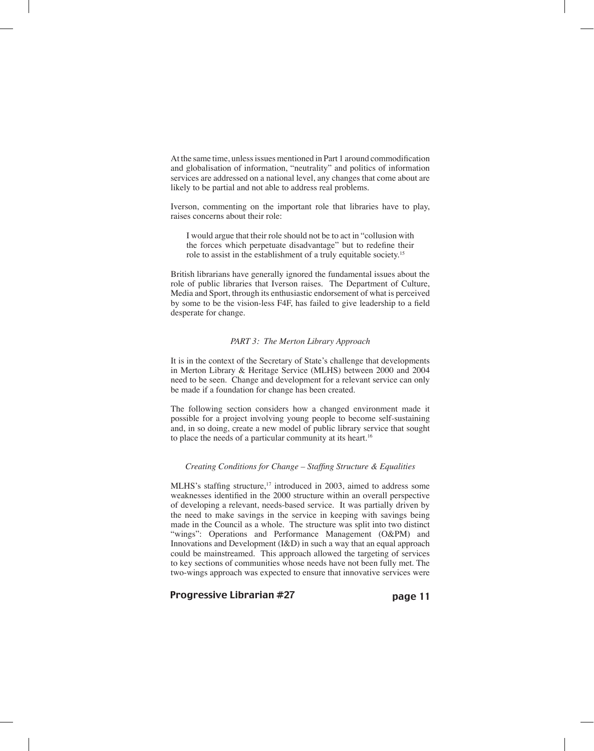At the same time, unless issues mentioned in Part 1 around commodification and globalisation of information, "neutrality" and politics of information services are addressed on a national level, any changes that come about are likely to be partial and not able to address real problems.

Iverson, commenting on the important role that libraries have to play, raises concerns about their role:

I would argue that their role should not be to act in "collusion with the forces which perpetuate disadvantage" but to redefine their role to assist in the establishment of a truly equitable society. 15

British librarians have generally ignored the fundamental issues about the role of public libraries that Iverson raises. The Department of Culture, Media and Sport, through its enthusiastic endorsement of what is perceived by some to be the vision-less F4F, has failed to give leadership to a field desperate for change.

#### *PART 3: The Merton Library Approach*

It is in the context of the Secretary of State's challenge that developments in Merton Library & Heritage Service (MLHS) between 2000 and 2004 need to be seen. Change and development for a relevant service can only be made if a foundation for change has been created.

The following section considers how a changed environment made it possible for a project involving young people to become self-sustaining and, in so doing, create a new model of public library service that sought to place the needs of a particular community at its heart.<sup>16</sup>

#### *Creating Conditions for Change – Staffing Structure & Equalities*

MLHS's staffing structure,<sup>17</sup> introduced in 2003, aimed to address some weaknesses identified in the 2000 structure within an overall perspective of developing a relevant, needs-based service. It was partially driven by the need to make savings in the service in keeping with savings being made in the Council as a whole. The structure was split into two distinct "wings": Operations and Performance Management (O&PM) and Innovations and Development (I&D) in such a way that an equal approach could be mainstreamed. This approach allowed the targeting of services to key sections of communities whose needs have not been fully met. The two-wings approach was expected to ensure that innovative services were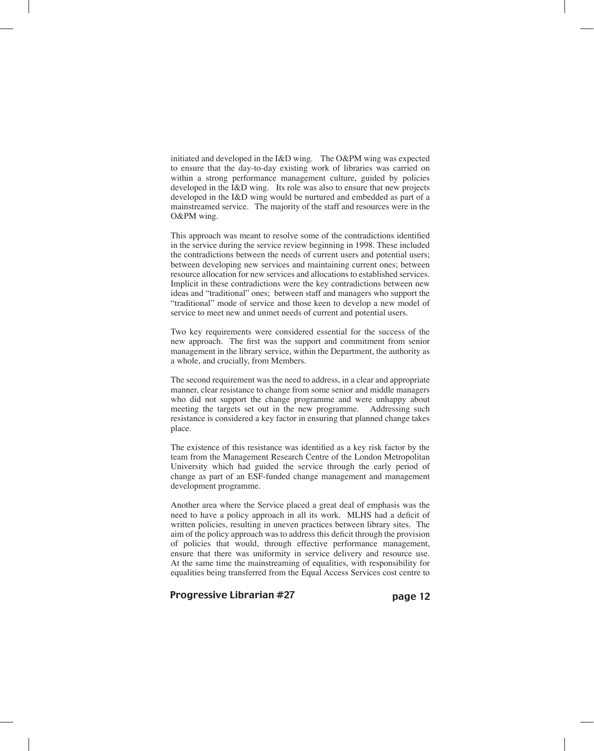initiated and developed in the I&D wing. The O&PM wing was expected to ensure that the day-to-day existing work of libraries was carried on within a strong performance management culture, guided by policies developed in the I&D wing. Its role was also to ensure that new projects developed in the I&D wing would be nurtured and embedded as part of a mainstreamed service. The majority of the staff and resources were in the O&PM wing.

This approach was meant to resolve some of the contradictions identified in the service during the service review beginning in 1998. These included the contradictions between the needs of current users and potential users; between developing new services and maintaining current ones; between resource allocation for new services and allocations to established services. Implicit in these contradictions were the key contradictions between new ideas and "traditional" ones; between staff and managers who support the "traditional" mode of service and those keen to develop a new model of service to meet new and unmet needs of current and potential users.

Two key requirements were considered essential for the success of the new approach. The first was the support and commitment from senior management in the library service, within the Department, the authority as a whole, and crucially, from Members.

The second requirement was the need to address, in a clear and appropriate manner, clear resistance to change from some senior and middle managers who did not support the change programme and were unhappy about meeting the targets set out in the new programme. Addressing such resistance is considered a key factor in ensuring that planned change takes place.

The existence of this resistance was identified as a key risk factor by the team from the Management Research Centre of the London Metropolitan University which had guided the service through the early period of change as part of an ESF-funded change management and management development programme.

Another area where the Service placed a great deal of emphasis was the need to have a policy approach in all its work. MLHS had a deficit of written policies, resulting in uneven practices between library sites. The aim of the policy approach was to address this deficit through the provision of policies that would, through effective performance management, ensure that there was uniformity in service delivery and resource use. At the same time the mainstreaming of equalities, with responsibility for equalities being transferred from the Equal Access Services cost centre to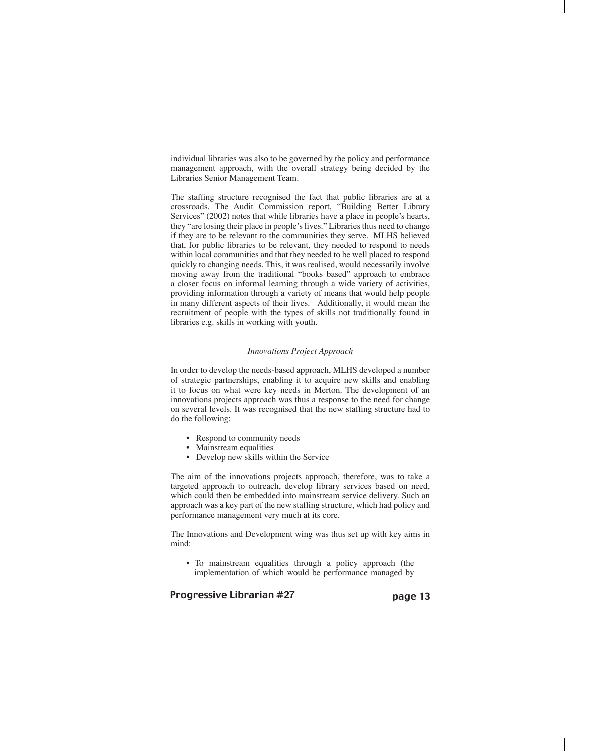individual libraries was also to be governed by the policy and performance management approach, with the overall strategy being decided by the Libraries Senior Management Team.

The staffing structure recognised the fact that public libraries are at a crossroads. The Audit Commission report, "Building Better Library Services" (2002) notes that while libraries have a place in people's hearts, they "are losing their place in people's lives." Libraries thus need to change if they are to be relevant to the communities they serve. MLHS believed that, for public libraries to be relevant, they needed to respond to needs within local communities and that they needed to be well placed to respond quickly to changing needs. This, it was realised, would necessarily involve moving away from the traditional "books based" approach to embrace a closer focus on informal learning through a wide variety of activities, providing information through a variety of means that would help people in many different aspects of their lives. Additionally, it would mean the recruitment of people with the types of skills not traditionally found in libraries e.g. skills in working with youth.

#### *Innovations Project Approach*

In order to develop the needs-based approach, MLHS developed a number of strategic partnerships, enabling it to acquire new skills and enabling it to focus on what were key needs in Merton. The development of an innovations projects approach was thus a response to the need for change on several levels. It was recognised that the new staffing structure had to do the following:

- Respond to community needs
- Mainstream equalities
- Develop new skills within the Service

The aim of the innovations projects approach, therefore, was to take a targeted approach to outreach, develop library services based on need, which could then be embedded into mainstream service delivery. Such an approach was a key part of the new staffing structure, which had policy and performance management very much at its core.

The Innovations and Development wing was thus set up with key aims in mind:

• To mainstream equalities through a policy approach (the implementation of which would be performance managed by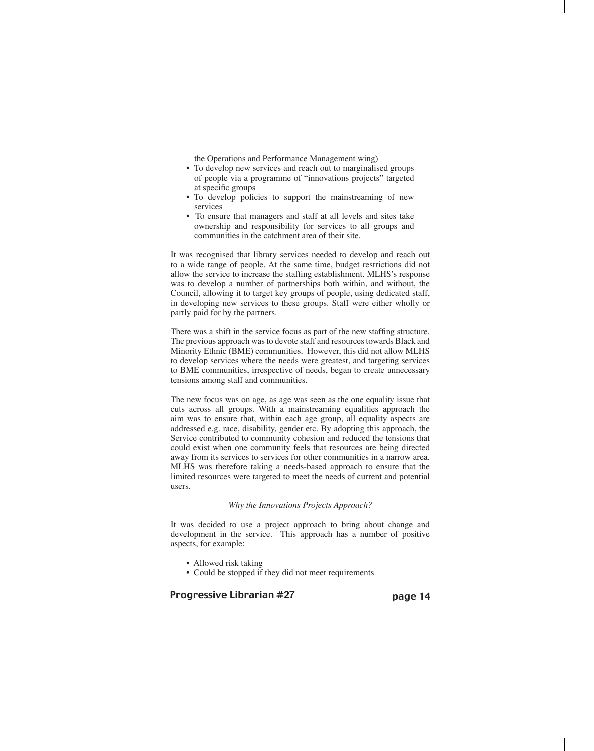the Operations and Performance Management wing)

- To develop new services and reach out to marginalised groups of people via a programme of "innovations projects" targeted at specific groups
- To develop policies to support the mainstreaming of new services
- To ensure that managers and staff at all levels and sites take ownership and responsibility for services to all groups and communities in the catchment area of their site.

It was recognised that library services needed to develop and reach out to a wide range of people. At the same time, budget restrictions did not allow the service to increase the staffing establishment. MLHS's response was to develop a number of partnerships both within, and without, the Council, allowing it to target key groups of people, using dedicated staff, in developing new services to these groups. Staff were either wholly or partly paid for by the partners.

There was a shift in the service focus as part of the new staffing structure. The previous approach was to devote staff and resources towards Black and Minority Ethnic (BME) communities. However, this did not allow MLHS to develop services where the needs were greatest, and targeting services to BME communities, irrespective of needs, began to create unnecessary tensions among staff and communities.

The new focus was on age, as age was seen as the one equality issue that cuts across all groups. With a mainstreaming equalities approach the aim was to ensure that, within each age group, all equality aspects are addressed e.g. race, disability, gender etc. By adopting this approach, the Service contributed to community cohesion and reduced the tensions that could exist when one community feels that resources are being directed away from its services to services for other communities in a narrow area. MLHS was therefore taking a needs-based approach to ensure that the limited resources were targeted to meet the needs of current and potential users.

#### *Why the Innovations Projects Approach?*

It was decided to use a project approach to bring about change and development in the service. This approach has a number of positive aspects, for example:

- Allowed risk taking
- Could be stopped if they did not meet requirements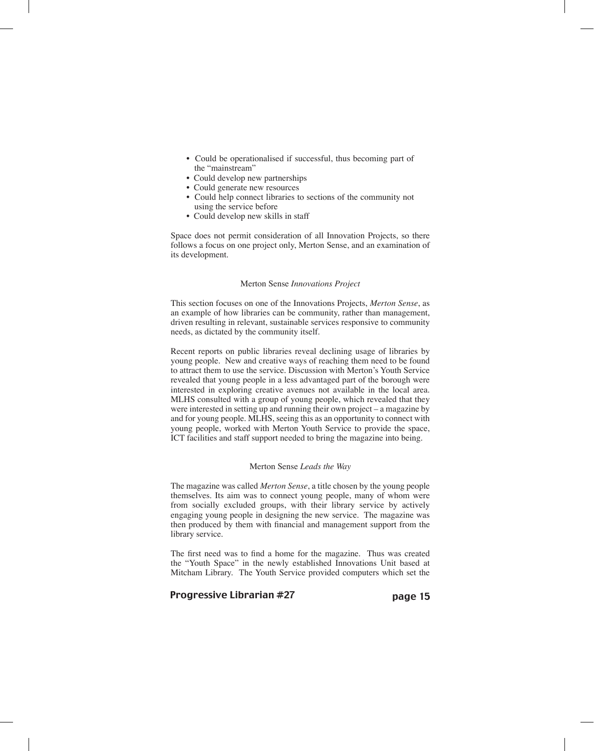- Could be operationalised if successful, thus becoming part of the "mainstream"
- Could develop new partnerships
- Could generate new resources
- Could help connect libraries to sections of the community not using the service before
- Could develop new skills in staff

Space does not permit consideration of all Innovation Projects, so there follows a focus on one project only, Merton Sense, and an examination of its development.

#### Merton Sense *Innovations Project*

This section focuses on one of the Innovations Projects, *Merton Sense*, as an example of how libraries can be community, rather than management, driven resulting in relevant, sustainable services responsive to community needs, as dictated by the community itself.

Recent reports on public libraries reveal declining usage of libraries by young people. New and creative ways of reaching them need to be found to attract them to use the service. Discussion with Merton's Youth Service revealed that young people in a less advantaged part of the borough were interested in exploring creative avenues not available in the local area. MLHS consulted with a group of young people, which revealed that they were interested in setting up and running their own project – a magazine by and for young people. MLHS, seeing this as an opportunity to connect with young people, worked with Merton Youth Service to provide the space, ICT facilities and staff support needed to bring the magazine into being.

#### Merton Sense *Leads the Way*

The magazine was called *Merton Sense*, a title chosen by the young people themselves. Its aim was to connect young people, many of whom were from socially excluded groups, with their library service by actively engaging young people in designing the new service. The magazine was then produced by them with financial and management support from the library service.

The first need was to find a home for the magazine. Thus was created the "Youth Space" in the newly established Innovations Unit based at Mitcham Library. The Youth Service provided computers which set the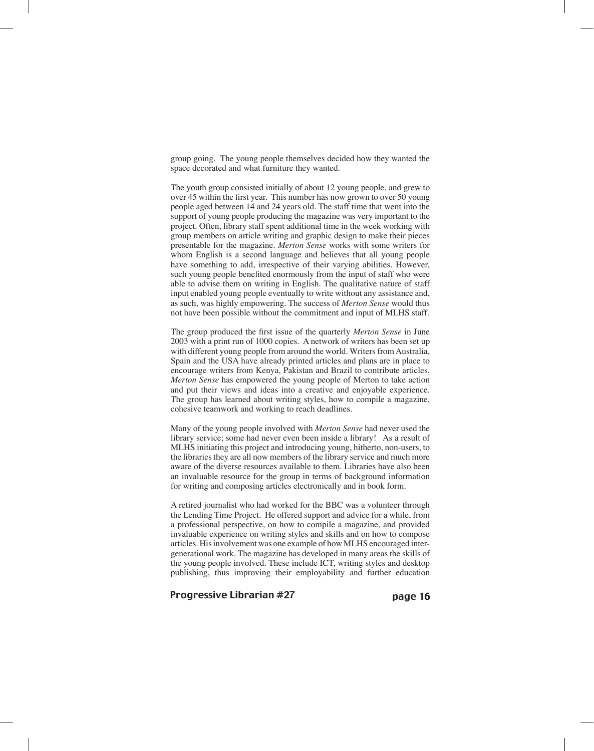group going. The young people themselves decided how they wanted the space decorated and what furniture they wanted.

The youth group consisted initially of about 12 young people, and grew to over 45 within the first year. This number has now grown to over 50 young people aged between 14 and 24 years old. The staff time that went into the support of young people producing the magazine was very important to the project. Often, library staff spent additional time in the week working with group members on article writing and graphic design to make their pieces presentable for the magazine. *Merton Sense* works with some writers for whom English is a second language and believes that all young people have something to add, irrespective of their varying abilities. However, such young people benefited enormously from the input of staff who were able to advise them on writing in English. The qualitative nature of staff input enabled young people eventually to write without any assistance and, as such, was highly empowering. The success of *Merton Sense* would thus not have been possible without the commitment and input of MLHS staff.

The group produced the first issue of the quarterly *Merton Sense* in June 2003 with a print run of 1000 copies. A network of writers has been set up with different young people from around the world. Writers from Australia, Spain and the USA have already printed articles and plans are in place to encourage writers from Kenya, Pakistan and Brazil to contribute articles. *Merton Sense* has empowered the young people of Merton to take action and put their views and ideas into a creative and enjoyable experience. The group has learned about writing styles, how to compile a magazine, cohesive teamwork and working to reach deadlines.

Many of the young people involved with *Merton Sense* had never used the library service; some had never even been inside a library! As a result of MLHS initiating this project and introducing young, hitherto, non-users, to the libraries they are all now members of the library service and much more aware of the diverse resources available to them. Libraries have also been an invaluable resource for the group in terms of background information for writing and composing articles electronically and in book form.

A retired journalist who had worked for the BBC was a volunteer through the Lending Time Project. He offered support and advice for a while, from a professional perspective, on how to compile a magazine, and provided invaluable experience on writing styles and skills and on how to compose articles. His involvement was one example of how MLHS encouraged intergenerational work. The magazine has developed in many areas the skills of the young people involved. These include ICT, writing styles and desktop publishing, thus improving their employability and further education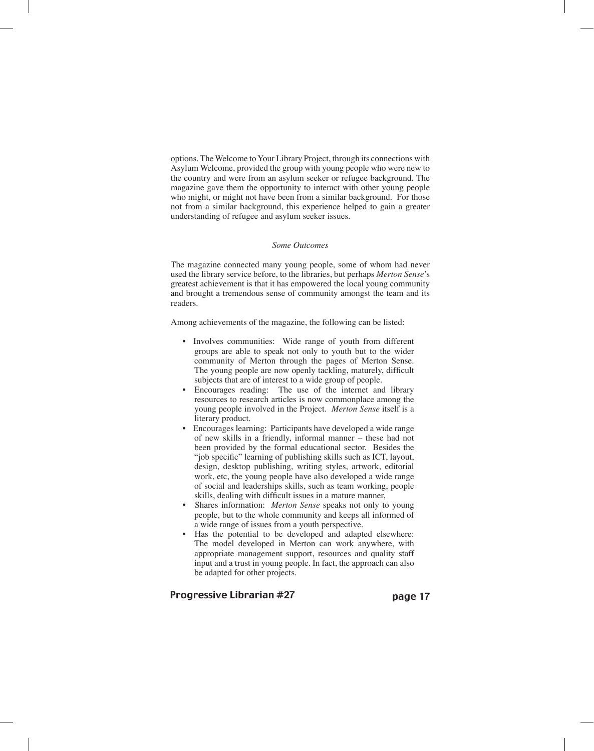options. The Welcome to Your Library Project, through its connections with Asylum Welcome, provided the group with young people who were new to the country and were from an asylum seeker or refugee background. The magazine gave them the opportunity to interact with other young people who might, or might not have been from a similar background. For those not from a similar background, this experience helped to gain a greater understanding of refugee and asylum seeker issues.

### *Some Outcomes*

The magazine connected many young people, some of whom had never used the library service before, to the libraries, but perhaps *Merton Sense*'s greatest achievement is that it has empowered the local young community and brought a tremendous sense of community amongst the team and its readers.

Among achievements of the magazine, the following can be listed:

- Involves communities: Wide range of youth from different groups are able to speak not only to youth but to the wider community of Merton through the pages of Merton Sense. The young people are now openly tackling, maturely, difficult subjects that are of interest to a wide group of people.
- Encourages reading: The use of the internet and library resources to research articles is now commonplace among the young people involved in the Project. *Merton Sense* itself is a literary product.
- Encourages learning: Participants have developed a wide range of new skills in a friendly, informal manner – these had not been provided by the formal educational sector. Besides the "job specific" learning of publishing skills such as ICT, layout, design, desktop publishing, writing styles, artwork, editorial work, etc, the young people have also developed a wide range of social and leaderships skills, such as team working, people skills, dealing with difficult issues in a mature manner,
- Shares information: *Merton Sense* speaks not only to young people, but to the whole community and keeps all informed of a wide range of issues from a youth perspective.
- Has the potential to be developed and adapted elsewhere: The model developed in Merton can work anywhere, with appropriate management support, resources and quality staff input and a trust in young people. In fact, the approach can also be adapted for other projects.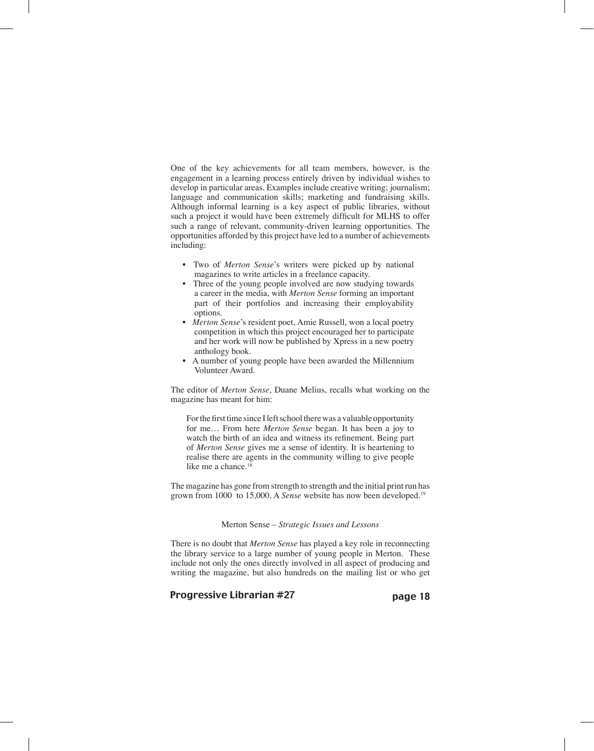One of the key achievements for all team members, however, is the engagement in a learning process entirely driven by individual wishes to develop in particular areas. Examples include creative writing; journalism; language and communication skills; marketing and fundraising skills. Although informal learning is a key aspect of public libraries, without such a project it would have been extremely difficult for MLHS to offer such a range of relevant, community-driven learning opportunities. The opportunities afforded by this project have led to a number of achievements including:

- Two of *Merton Sense*'s writers were picked up by national magazines to write articles in a freelance capacity.
- Three of the young people involved are now studying towards a career in the media, with *Merton Sense* forming an important part of their portfolios and increasing their employability options.
- *Merton Sense*'s resident poet, Amie Russell, won a local poetry competition in which this project encouraged her to participate and her work will now be published by Xpress in a new poetry anthology book.
- A number of young people have been awarded the Millennium Volunteer Award.

The editor of *Merton Sense*, Duane Melius, recalls what working on the magazine has meant for him:

For the first time since I left school there was a valuable opportunity for me… From here *Merton Sense* began. It has been a joy to watch the birth of an idea and witness its refinement. Being part of *Merton Sense* gives me a sense of identity. It is heartening to realise there are agents in the community willing to give people like me a chance. $18$ 

The magazine has gone from strength to strength and the initial print run has grown from 1000 to 15,000. A *Sense* website has now been developed.19

#### Merton Sense *– Strategic Issues and Lessons*

There is no doubt that *Merton Sense* has played a key role in reconnecting the library service to a large number of young people in Merton. These include not only the ones directly involved in all aspect of producing and writing the magazine, but also hundreds on the mailing list or who get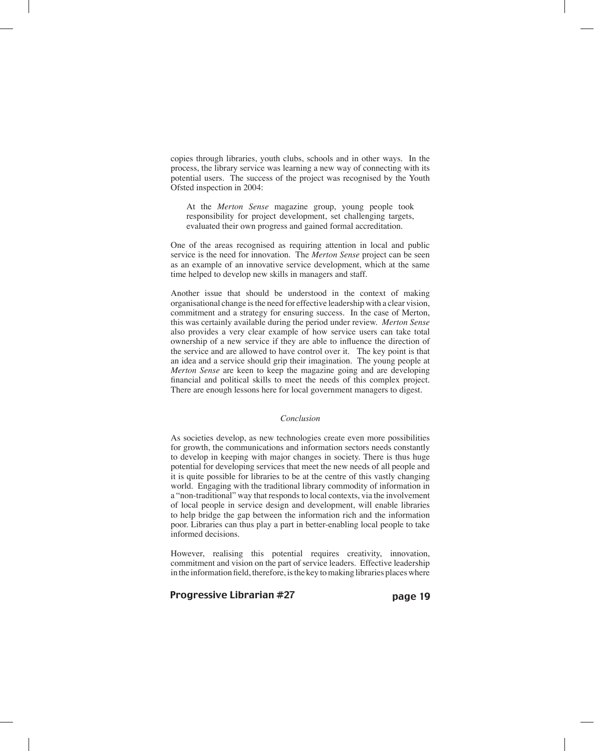copies through libraries, youth clubs, schools and in other ways. In the process, the library service was learning a new way of connecting with its potential users. The success of the project was recognised by the Youth Ofsted inspection in 2004:

At the *Merton Sense* magazine group, young people took responsibility for project development, set challenging targets, evaluated their own progress and gained formal accreditation.

One of the areas recognised as requiring attention in local and public service is the need for innovation. The *Merton Sense* project can be seen as an example of an innovative service development, which at the same time helped to develop new skills in managers and staff.

Another issue that should be understood in the context of making organisational change is the need for effective leadership with a clear vision, commitment and a strategy for ensuring success. In the case of Merton, this was certainly available during the period under review. *Merton Sense*  also provides a very clear example of how service users can take total ownership of a new service if they are able to influence the direction of the service and are allowed to have control over it. The key point is that an idea and a service should grip their imagination. The young people at *Merton Sense* are keen to keep the magazine going and are developing financial and political skills to meet the needs of this complex project. There are enough lessons here for local government managers to digest.

#### *Conclusion*

As societies develop, as new technologies create even more possibilities for growth, the communications and information sectors needs constantly to develop in keeping with major changes in society. There is thus huge potential for developing services that meet the new needs of all people and it is quite possible for libraries to be at the centre of this vastly changing world. Engaging with the traditional library commodity of information in a "non-traditional" way that responds to local contexts, via the involvement of local people in service design and development, will enable libraries to help bridge the gap between the information rich and the information poor. Libraries can thus play a part in better-enabling local people to take informed decisions.

However, realising this potential requires creativity, innovation, commitment and vision on the part of service leaders. Effective leadership in the information field, therefore, is the key to making libraries places where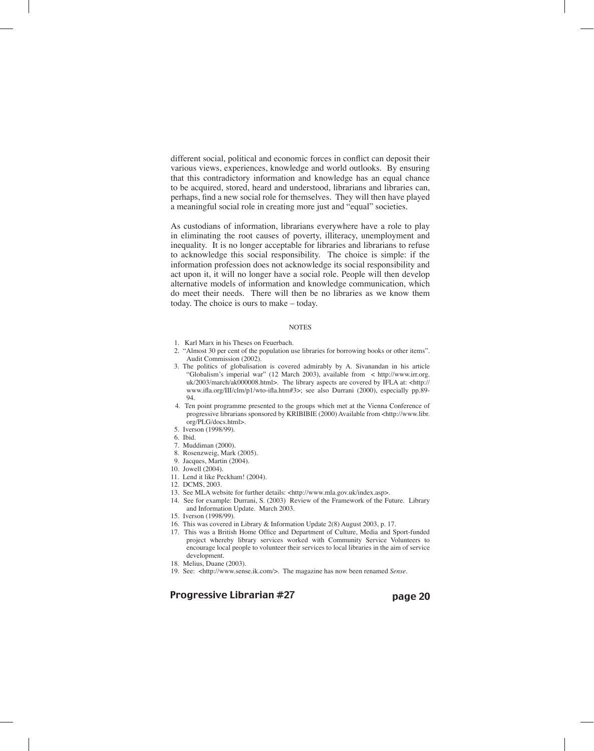different social, political and economic forces in conflict can deposit their various views, experiences, knowledge and world outlooks. By ensuring that this contradictory information and knowledge has an equal chance to be acquired, stored, heard and understood, librarians and libraries can, perhaps, find a new social role for themselves. They will then have played a meaningful social role in creating more just and "equal" societies.

As custodians of information, librarians everywhere have a role to play in eliminating the root causes of poverty, illiteracy, unemployment and inequality. It is no longer acceptable for libraries and librarians to refuse to acknowledge this social responsibility. The choice is simple: if the information profession does not acknowledge its social responsibility and act upon it, it will no longer have a social role. People will then develop alternative models of information and knowledge communication, which do meet their needs. There will then be no libraries as we know them today. The choice is ours to make – today.

#### **NOTES**

- 1. Karl Marx in his Theses on Feuerbach.
- 2. "Almost 30 per cent of the population use libraries for borrowing books or other items". Audit Commission (2002).
- 3. The politics of globalisation is covered admirably by A. Sivanandan in his article "Globalism's imperial war" (12 March 2003), available from < http://www.irr.org. uk/2003/march/ak000008.html>. The library aspects are covered by IFLA at: <http:// www.ifla.org/III/clm/p1/wto-ifla.htm#3>; see also Durrani (2000), especially pp.89- 94.
- 4. Ten point programme presented to the groups which met at the Vienna Conference of progressive librarians sponsored by KRIBIBIE (2000) Available from <http://www.libr. org/PLG/docs.html>.
- 5. Iverson (1998/99).
- 6. Ibid.
- 7. Muddiman (2000).
- 8. Rosenzweig, Mark (2005).
- 9. Jacques, Martin (2004).
- 10. Jowell (2004).
- 11. Lend it like Peckham! (2004).
- 12. DCMS, 2003.
- 13. See MLA website for further details: <http://www.mla.gov.uk/index.asp>.
- 14. See for example: Durrani, S. (2003) Review of the Framework of the Future. Library and Information Update. March 2003.
- 15. Iverson (1998/99).
- 16. This was covered in Library & Information Update 2(8) August 2003, p. 17.
- 17. This was a British Home Office and Department of Culture, Media and Sport-funded project whereby library services worked with Community Service Volunteers to encourage local people to volunteer their services to local libraries in the aim of service development.
- 18. Melius, Duane (2003).
- 19. See: <http://www.sense.ik.com/>. The magazine has now been renamed *Sense*.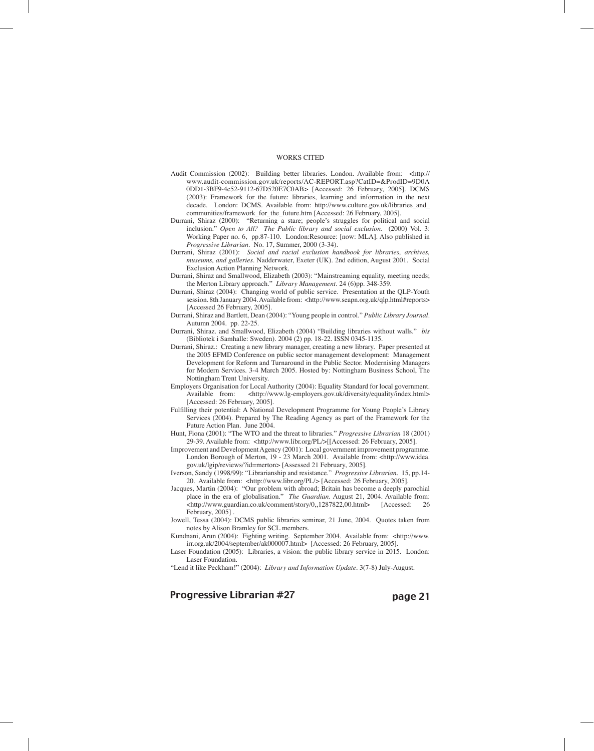#### WORKS CITED

- Audit Commission (2002): Building better libraries. London. Available from: <http:// www.audit-commission.gov.uk/reports/AC-REPORT.asp?CatID=&ProdID=9D0A 0DD1-3BF9-4c52-9112-67D520E7C0AB> [Accessed: 26 February, 2005]. DCMS (2003): Framework for the future: libraries, learning and information in the next decade. London: DCMS. Available from: http://www.culture.gov.uk/libraries\_and\_ communities/framework\_for\_the\_future.htm [Accessed: 26 February, 2005].
- Durrani, Shiraz (2000): "Returning a stare; people's struggles for political and social inclusion." *Open to All? The Public library and social exclusion*. (2000) Vol. 3: Working Paper no. 6, pp.87-110. London:Resource: [now: MLA]. Also published in *Progressive Librarian*. No. 17, Summer, 2000 (3-34).
- Durrani, Shiraz (2001): *Social and racial exclusion handbook for libraries, archives, museums, and galleries*. Nadderwater, Exeter (UK). 2nd edition, August 2001. Social Exclusion Action Planning Network.
- Durrani, Shiraz and Smallwood, Elizabeth (2003): "Mainstreaming equality, meeting needs; the Merton Library approach." *Library Management*. 24 (6)pp. 348-359.
- Durrani, Shiraz (2004): Changing world of public service. Presentation at the QLP-Youth session. 8th January 2004. Available from: <http://www.seapn.org.uk/qlp.html#reports> [Accessed 26 February, 2005].
- Durrani, Shiraz and Bartlett, Dean (2004): "Young people in control." *Public Library Journal.* Autumn 2004. pp. 22-25.
- Durrani, Shiraz. and Smallwood, Elizabeth (2004) "Building libraries without walls." *bis* (Bibliotek i Samhalle: Sweden). 2004 (2) pp. 18-22. ISSN 0345-1135.
- Durrani, Shiraz.: Creating a new library manager, creating a new library. Paper presented at the 2005 EFMD Conference on public sector management development: Management Development for Reform and Turnaround in the Public Sector. Modernising Managers for Modern Services. 3-4 March 2005. Hosted by: Nottingham Business School, The Nottingham Trent University.
- Employers Organisation for Local Authority (2004): Equality Standard for local government.<br>Available from: <http://www.lg-employers.gov.uk/diversity/equality/index.html>  $\text{th}\$  -thttp://www.lg-employers.gov.uk/diversity/equality/index.html> [Accessed: 26 February, 2005].
- Fulfilling their potential: A National Development Programme for Young People's Library Services (2004). Prepared by The Reading Agency as part of the Framework for the Future Action Plan. June 2004.
- Hunt, Fiona (2001): "The WTO and the threat to libraries." *Progressive Librarian* 18 (2001) 29-39. Available from: <http://www.libr.org/PL/>[[Accessed: 26 February, 2005].
- Improvement and Development Agency (2001): Local government improvement programme. London Borough of Merton, 19 - 23 March 2001. Available from: <http://www.idea. gov.uk/lgip/reviews/?id=merton> [Assessed 21 February, 2005].
- Iverson, Sandy (1998/99): "Librarianship and resistance." *Progressive Librarian*. 15, pp.14- 20. Available from: <http://www.libr.org/PL/> [Accessed: 26 February, 2005].
- Jacques, Martin (2004): "Our problem with abroad; Britain has become a deeply parochial place in the era of globalisation." *The Guardian*. August 21, 2004. Available from:<br>  $\langle \text{http://www.guardian.co.uk/comment/story/0,1287822,00.html}\rangle$  [Accessed: 26 <http://www.guardian.co.uk/comment/story/0,,1287822,00.html> February, 2005]
- Jowell, Tessa (2004): DCMS public libraries seminar, 21 June, 2004. Quotes taken from notes by Alison Bramley for SCL members.
- Kundnani, Arun (2004): Fighting writing. September 2004. Available from: <http://www. irr.org.uk/2004/september/ak000007.html> [Accessed: 26 February, 2005].
- Laser Foundation (2005): Libraries, a vision: the public library service in 2015. London: Laser Foundation.
- "Lend it like Peckham!" (2004): *Library and Information Update*. 3(7-8) July-August.